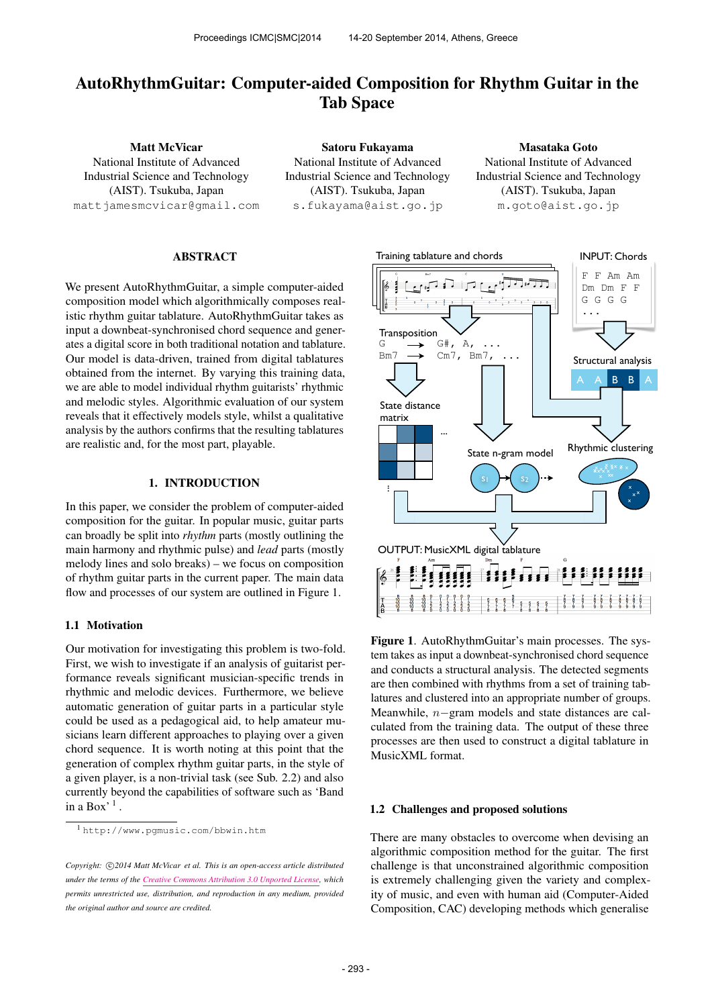# AutoRhythmGuitar: Computer-aided Composition for Rhythm Guitar in the Tab Space

Matt McVicar National Institute of Advanced Industrial Science and Technology (AIST). Tsukuba, Japan [mattjamesmcvicar@gmail.com](mailto:mattjamesmcvicar@gmail.com)

Satoru Fukayama National Institute of Advanced Industrial Science and Technology (AIST). Tsukuba, Japan [s.fukayama@aist.go.jp](mailto:s.fukayama@aist.go.jp)

Masataka Goto National Institute of Advanced Industrial Science and Technology (AIST). Tsukuba, Japan [m.goto@aist.go.jp](mailto:m.goto@aist.go.jp)

# ABSTRACT

We present AutoRhythmGuitar, a simple computer-aided composition model which algorithmically composes realistic rhythm guitar tablature. AutoRhythmGuitar takes as input a downbeat-synchronised chord sequence and generates a digital score in both traditional notation and tablature. Our model is data-driven, trained from digital tablatures obtained from the internet. By varying this training data, we are able to model individual rhythm guitarists' rhythmic and melodic styles. Algorithmic evaluation of our system reveals that it effectively models style, whilst a qualitative analysis by the authors confirms that the resulting tablatures are realistic and, for the most part, playable.

# 1. INTRODUCTION

In this paper, we consider the problem of computer-aided composition for the guitar. In popular music, guitar parts can broadly be split into *rhythm* parts (mostly outlining the main harmony and rhythmic pulse) and *lead* parts (mostly melody lines and solo breaks) – we focus on composition of rhythm guitar parts in the current paper. The main data flow and processes of our system are outlined in Figure 1.

# 1.1 Motivation

Our motivation for investigating this problem is two-fold. First, we wish to investigate if an analysis of guitarist performance reveals significant musician-specific trends in rhythmic and melodic devices. Furthermore, we believe automatic generation of guitar parts in a particular style could be used as a pedagogical aid, to help amateur musicians learn different approaches to playing over a given chord sequence. It is worth noting at this point that the generation of complex rhythm guitar parts, in the style of a given player, is a non-trivial task (see Sub. 2.2) and also currently beyond the capabilities of software such as 'Band in a  $Box'$ <sup>1</sup>.



Figure 1. AutoRhythmGuitar's main processes. The system takes as input a downbeat-synchronised chord sequence and conducts a structural analysis. The detected segments are then combined with rhythms from a set of training tablatures and clustered into an appropriate number of groups. Meanwhile, n−gram models and state distances are calculated from the training data. The output of these three processes are then used to construct a digital tablature in MusicXML format.

### 1.2 Challenges and proposed solutions

There are many obstacles to overcome when devising an algorithmic composition method for the guitar. The first challenge is that unconstrained algorithmic composition is extremely challenging given the variety and complexity of music, and even with human aid (Computer-Aided Composition, CAC) developing methods which generalise

<sup>1</sup> <http://www.pgmusic.com/bbwin.htm>

Copyright:  $\bigcirc$ 2014 Matt McVicar et al. This is an open-access article distributed *under the terms of the [Creative Commons Attribution 3.0 Unported License,](http://creativecommons.org/licenses/by/3.0/) which permits unrestricted use, distribution, and reproduction in any medium, provided the original author and source are credited.*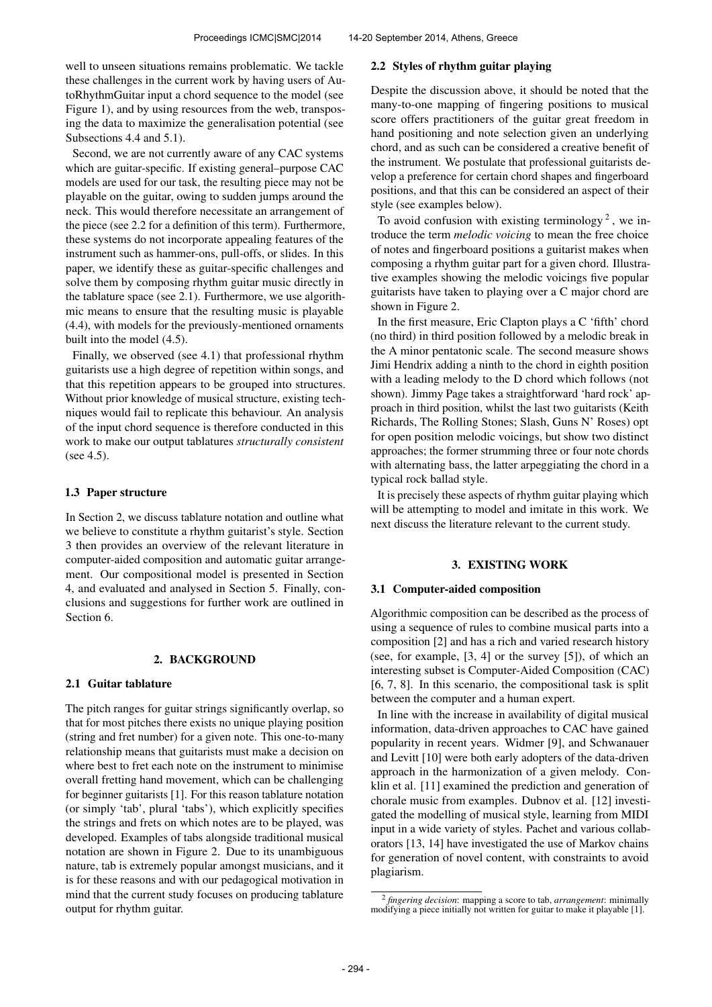well to unseen situations remains problematic. We tackle these challenges in the current work by having users of AutoRhythmGuitar input a chord sequence to the model (see Figure 1), and by using resources from the web, transposing the data to maximize the generalisation potential (see Subsections 4.4 and 5.1).

Second, we are not currently aware of any CAC systems which are guitar-specific. If existing general–purpose CAC models are used for our task, the resulting piece may not be playable on the guitar, owing to sudden jumps around the neck. This would therefore necessitate an arrangement of the piece (see 2.2 for a definition of this term). Furthermore, these systems do not incorporate appealing features of the instrument such as hammer-ons, pull-offs, or slides. In this paper, we identify these as guitar-specific challenges and solve them by composing rhythm guitar music directly in the tablature space (see 2.1). Furthermore, we use algorithmic means to ensure that the resulting music is playable (4.4), with models for the previously-mentioned ornaments built into the model (4.5).

Finally, we observed (see 4.1) that professional rhythm guitarists use a high degree of repetition within songs, and that this repetition appears to be grouped into structures. Without prior knowledge of musical structure, existing techniques would fail to replicate this behaviour. An analysis of the input chord sequence is therefore conducted in this work to make our output tablatures *structurally consistent* (see 4.5).

# 1.3 Paper structure

In Section 2, we discuss tablature notation and outline what we believe to constitute a rhythm guitarist's style. Section 3 then provides an overview of the relevant literature in computer-aided composition and automatic guitar arrangement. Our compositional model is presented in Section 4, and evaluated and analysed in Section 5. Finally, conclusions and suggestions for further work are outlined in Section 6.

# 2. BACKGROUND

### 2.1 Guitar tablature

The pitch ranges for guitar strings significantly overlap, so that for most pitches there exists no unique playing position (string and fret number) for a given note. This one-to-many relationship means that guitarists must make a decision on where best to fret each note on the instrument to minimise overall fretting hand movement, which can be challenging for beginner guitarists [1]. For this reason tablature notation (or simply 'tab', plural 'tabs'), which explicitly specifies the strings and frets on which notes are to be played, was developed. Examples of tabs alongside traditional musical notation are shown in Figure 2. Due to its unambiguous nature, tab is extremely popular amongst musicians, and it is for these reasons and with our pedagogical motivation in mind that the current study focuses on producing tablature output for rhythm guitar.

### 2.2 Styles of rhythm guitar playing

Despite the discussion above, it should be noted that the many-to-one mapping of fingering positions to musical score offers practitioners of the guitar great freedom in hand positioning and note selection given an underlying chord, and as such can be considered a creative benefit of the instrument. We postulate that professional guitarists develop a preference for certain chord shapes and fingerboard positions, and that this can be considered an aspect of their style (see examples below).

To avoid confusion with existing terminology<sup>2</sup>, we introduce the term *melodic voicing* to mean the free choice of notes and fingerboard positions a guitarist makes when composing a rhythm guitar part for a given chord. Illustrative examples showing the melodic voicings five popular guitarists have taken to playing over a C major chord are shown in Figure 2.

In the first measure, Eric Clapton plays a C 'fifth' chord (no third) in third position followed by a melodic break in the A minor pentatonic scale. The second measure shows Jimi Hendrix adding a ninth to the chord in eighth position with a leading melody to the D chord which follows (not shown). Jimmy Page takes a straightforward 'hard rock' approach in third position, whilst the last two guitarists (Keith Richards, The Rolling Stones; Slash, Guns N' Roses) opt for open position melodic voicings, but show two distinct approaches; the former strumming three or four note chords with alternating bass, the latter arpeggiating the chord in a typical rock ballad style.

It is precisely these aspects of rhythm guitar playing which will be attempting to model and imitate in this work. We next discuss the literature relevant to the current study.

# 3. EXISTING WORK

#### 3.1 Computer-aided composition

Algorithmic composition can be described as the process of using a sequence of rules to combine musical parts into a composition [2] and has a rich and varied research history (see, for example, [3, 4] or the survey [5]), of which an interesting subset is Computer-Aided Composition (CAC) [6, 7, 8]. In this scenario, the compositional task is split between the computer and a human expert.

In line with the increase in availability of digital musical information, data-driven approaches to CAC have gained popularity in recent years. Widmer [9], and Schwanauer and Levitt [10] were both early adopters of the data-driven approach in the harmonization of a given melody. Conklin et al. [11] examined the prediction and generation of chorale music from examples. Dubnov et al. [12] investigated the modelling of musical style, learning from MIDI input in a wide variety of styles. Pachet and various collaborators [13, 14] have investigated the use of Markov chains for generation of novel content, with constraints to avoid plagiarism.

<sup>2</sup> *fingering decision*: mapping a score to tab, *arrangement*: minimally modifying a piece initially not written for guitar to make it playable [1].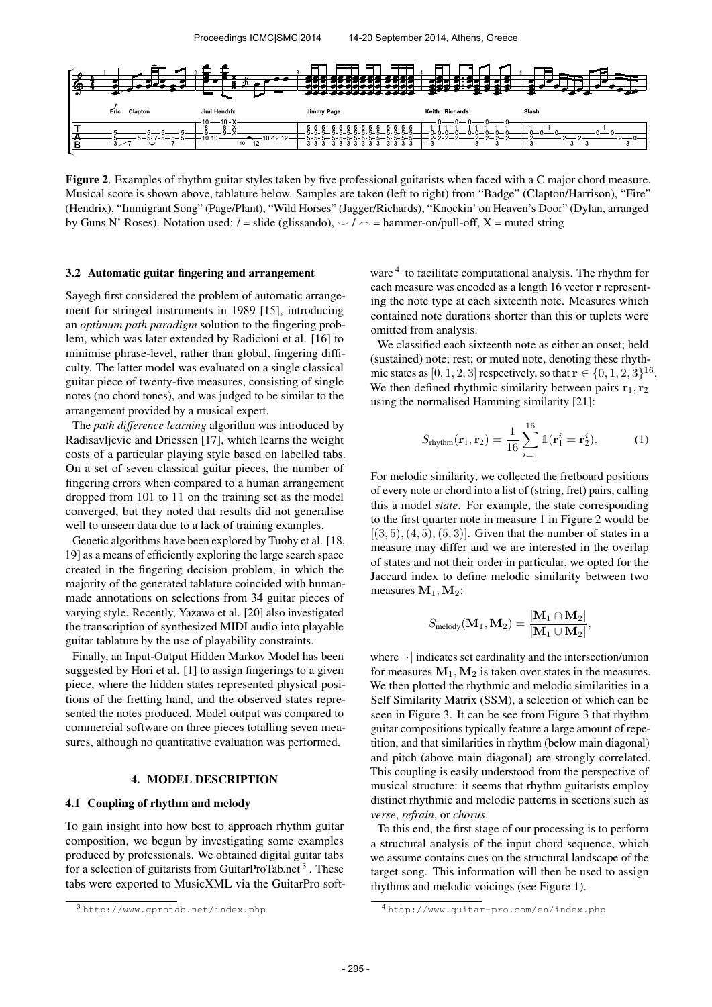

Figure 2. Examples of rhythm guitar styles taken by five professional guitarists when faced with a C major chord measure. Musical score is shown above, tablature below. Samples are taken (left to right) from "Badge" (Clapton/Harrison), "Fire" (Hendrix), "Immigrant Song" (Page/Plant), "Wild Horses" (Jagger/Richards), "Knockin' on Heaven's Door" (Dylan, arranged by Guns N' Roses). Notation used:  $/ =$  slide (glissando),  $\frac{1}{2}$  = hammer-on/pull-off, X = muted string

### 3.2 Automatic guitar fingering and arrangement

Sayegh first considered the problem of automatic arrangement for stringed instruments in 1989 [15], introducing an *optimum path paradigm* solution to the fingering problem, which was later extended by Radicioni et al. [16] to minimise phrase-level, rather than global, fingering difficulty. The latter model was evaluated on a single classical guitar piece of twenty-five measures, consisting of single notes (no chord tones), and was judged to be similar to the arrangement provided by a musical expert.

The *path difference learning* algorithm was introduced by Radisavljevic and Driessen [17], which learns the weight costs of a particular playing style based on labelled tabs. On a set of seven classical guitar pieces, the number of fingering errors when compared to a human arrangement dropped from 101 to 11 on the training set as the model converged, but they noted that results did not generalise well to unseen data due to a lack of training examples.

Genetic algorithms have been explored by Tuohy et al. [18, 19] as a means of efficiently exploring the large search space created in the fingering decision problem, in which the majority of the generated tablature coincided with humanmade annotations on selections from 34 guitar pieces of varying style. Recently, Yazawa et al. [20] also investigated the transcription of synthesized MIDI audio into playable guitar tablature by the use of playability constraints.

Finally, an Input-Output Hidden Markov Model has been suggested by Hori et al. [1] to assign fingerings to a given piece, where the hidden states represented physical positions of the fretting hand, and the observed states represented the notes produced. Model output was compared to commercial software on three pieces totalling seven measures, although no quantitative evaluation was performed.

# 4. MODEL DESCRIPTION

# 4.1 Coupling of rhythm and melody

To gain insight into how best to approach rhythm guitar composition, we begun by investigating some examples produced by professionals. We obtained digital guitar tabs for a selection of guitarists from GuitarProTab.net<sup>3</sup>. These tabs were exported to MusicXML via the GuitarPro software <sup>4</sup> to facilitate computational analysis. The rhythm for each measure was encoded as a length 16 vector r representing the note type at each sixteenth note. Measures which contained note durations shorter than this or tuplets were omitted from analysis.

We classified each sixteenth note as either an onset; held (sustained) note; rest; or muted note, denoting these rhythmic states as [0, 1, 2, 3] respectively, so that  $\mathbf{r} \in \{0, 1, 2, 3\}^{16}$ . We then defined rhythmic similarity between pairs  $r_1, r_2$ using the normalised Hamming similarity [21]:

$$
S_{\text{rhythm}}(\mathbf{r}_1, \mathbf{r}_2) = \frac{1}{16} \sum_{i=1}^{16} \mathbb{1}(\mathbf{r}_1^i = \mathbf{r}_2^i). \tag{1}
$$

For melodic similarity, we collected the fretboard positions of every note or chord into a list of (string, fret) pairs, calling this a model *state*. For example, the state corresponding to the first quarter note in measure 1 in Figure 2 would be  $[(3, 5), (4, 5), (5, 3)]$ . Given that the number of states in a measure may differ and we are interested in the overlap of states and not their order in particular, we opted for the Jaccard index to define melodic similarity between two measures  $M_1, M_2$ :

$$
\mathnormal{S}_{\text{melody}}(\mathbf{M}_1,\mathbf{M}_2) = \frac{|\mathbf{M}_1 \cap \mathbf{M}_2|}{|\mathbf{M}_1 \cup \mathbf{M}_2|},
$$

where |·| indicates set cardinality and the intersection/union for measures  $M_1, M_2$  is taken over states in the measures. We then plotted the rhythmic and melodic similarities in a Self Similarity Matrix (SSM), a selection of which can be seen in Figure 3. It can be see from Figure 3 that rhythm guitar compositions typically feature a large amount of repetition, and that similarities in rhythm (below main diagonal) and pitch (above main diagonal) are strongly correlated. This coupling is easily understood from the perspective of musical structure: it seems that rhythm guitarists employ distinct rhythmic and melodic patterns in sections such as *verse*, *refrain*, or *chorus*.

To this end, the first stage of our processing is to perform a structural analysis of the input chord sequence, which we assume contains cues on the structural landscape of the target song. This information will then be used to assign rhythms and melodic voicings (see Figure 1).

<sup>3</sup> <http://www.gprotab.net/index.php>

<sup>4</sup> <http://www.guitar-pro.com/en/index.php>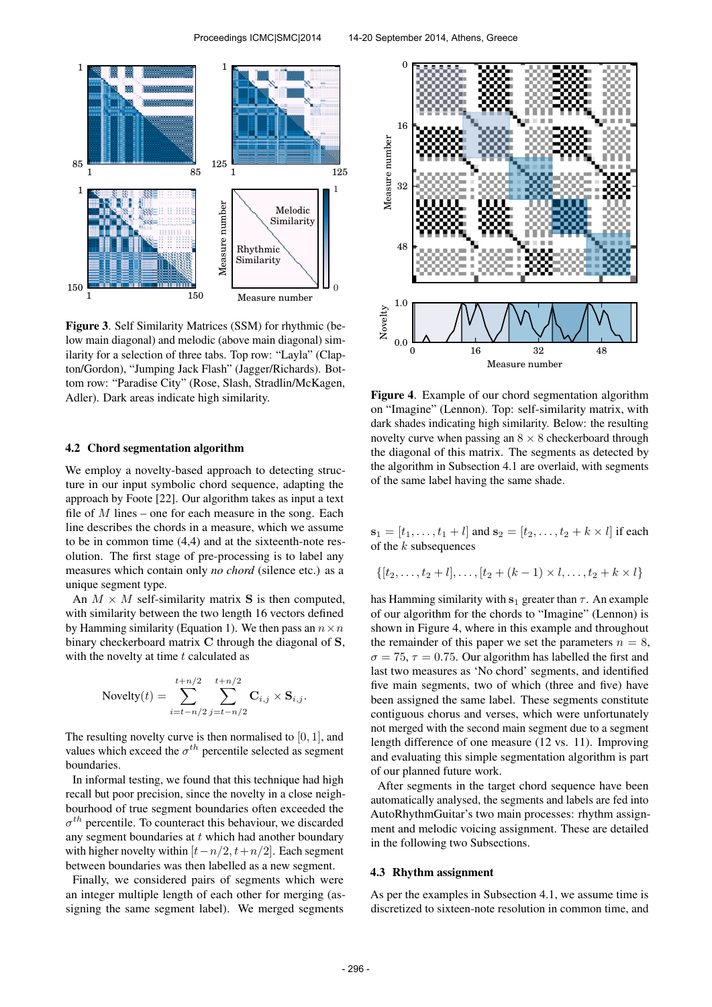

Figure 3. Self Similarity Matrices (SSM) for rhythmic (below main diagonal) and melodic (above main diagonal) similarity for a selection of three tabs. Top row: "Layla" (Clapton/Gordon), "Jumping Jack Flash" (Jagger/Richards). Bottom row: "Paradise City" (Rose, Slash, Stradlin/McKagen, Adler). Dark areas indicate high similarity.

#### 4.2 Chord segmentation algorithm

We employ a novelty-based approach to detecting structure in our input symbolic chord sequence, adapting the approach by Foote [22]. Our algorithm takes as input a text file of  $M$  lines – one for each measure in the song. Each line describes the chords in a measure, which we assume to be in common time (4,4) and at the sixteenth-note resolution. The first stage of pre-processing is to label any measures which contain only *no chord* (silence etc.) as a unique segment type.

An  $M \times M$  self-similarity matrix S is then computed, with similarity between the two length 16 vectors defined by Hamming similarity (Equation 1). We then pass an  $n \times n$ binary checkerboard matrix C through the diagonal of S, with the novelty at time  $t$  calculated as

Novelty

\n
$$
(t) = \sum_{i=t-n/2}^{t+n/2} \sum_{j=t-n/2}^{t+n/2} \mathbf{C}_{i,j} \times \mathbf{S}_{i,j}.
$$

The resulting novelty curve is then normalised to  $[0, 1]$ , and values which exceed the  $\sigma^{th}$  percentile selected as segment boundaries.

In informal testing, we found that this technique had high recall but poor precision, since the novelty in a close neighbourhood of true segment boundaries often exceeded the  $\sigma^{th}$  percentile. To counteract this behaviour, we discarded any segment boundaries at  $t$  which had another boundary with higher novelty within  $[t-n/2, t+n/2]$ . Each segment between boundaries was then labelled as a new segment.

Finally, we considered pairs of segments which were an integer multiple length of each other for merging (assigning the same segment label). We merged segments



Figure 4. Example of our chord segmentation algorithm on "Imagine" (Lennon). Top: self-similarity matrix, with dark shades indicating high similarity. Below: the resulting novelty curve when passing an  $8 \times 8$  checkerboard through the diagonal of this matrix. The segments as detected by the algorithm in Subsection 4.1 are overlaid, with segments of the same label having the same shade.

 $s_1 = [t_1, \ldots, t_1 + l]$  and  $s_2 = [t_2, \ldots, t_2 + k \times l]$  if each of the  $k$  subsequences

$$
\{[t_2,\ldots,t_2+l],\ldots,[t_2+(k-1)\times l,\ldots,t_2+k\times l]\}
$$

has Hamming similarity with  $s_1$  greater than  $\tau$ . An example of our algorithm for the chords to "Imagine" (Lennon) is shown in Figure 4, where in this example and throughout the remainder of this paper we set the parameters  $n = 8$ ,  $\sigma = 75$ ,  $\tau = 0.75$ . Our algorithm has labelled the first and last two measures as 'No chord' segments, and identified five main segments, two of which (three and five) have been assigned the same label. These segments constitute contiguous chorus and verses, which were unfortunately not merged with the second main segment due to a segment length difference of one measure (12 vs. 11). Improving and evaluating this simple segmentation algorithm is part of our planned future work.

After segments in the target chord sequence have been automatically analysed, the segments and labels are fed into AutoRhythmGuitar's two main processes: rhythm assignment and melodic voicing assignment. These are detailed in the following two Subsections.

### 4.3 Rhythm assignment

As per the examples in Subsection 4.1, we assume time is discretized to sixteen-note resolution in common time, and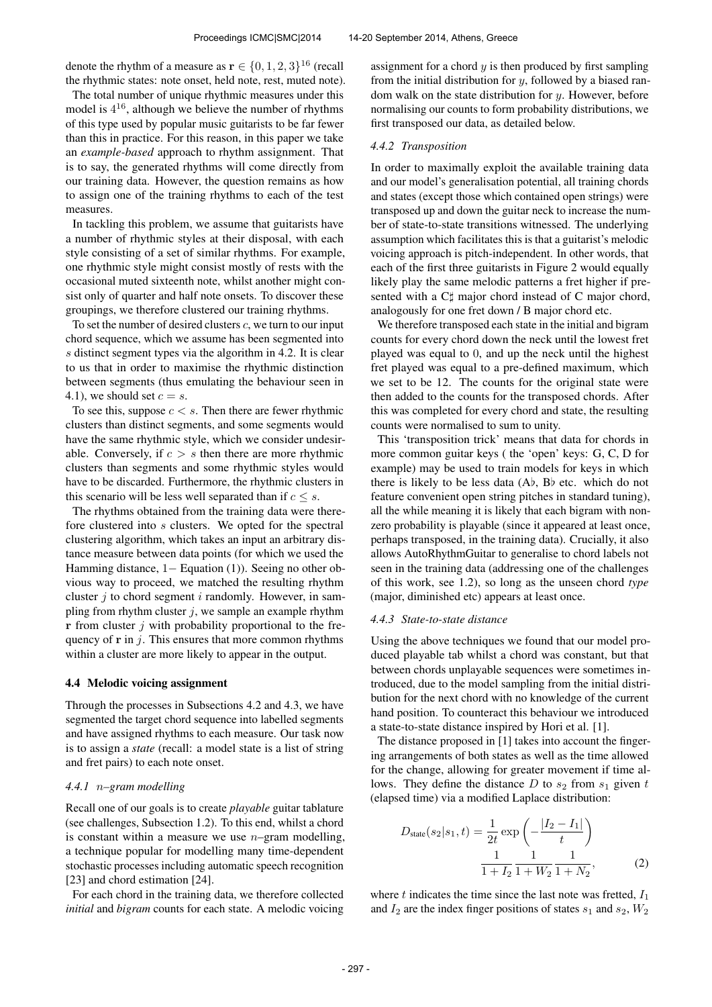denote the rhythm of a measure as  $\mathbf{r} \in \{0, 1, 2, 3\}^{16}$  (recall the rhythmic states: note onset, held note, rest, muted note).

The total number of unique rhythmic measures under this model is  $4^{16}$ , although we believe the number of rhythms of this type used by popular music guitarists to be far fewer than this in practice. For this reason, in this paper we take an *example-based* approach to rhythm assignment. That is to say, the generated rhythms will come directly from our training data. However, the question remains as how to assign one of the training rhythms to each of the test measures.

In tackling this problem, we assume that guitarists have a number of rhythmic styles at their disposal, with each style consisting of a set of similar rhythms. For example, one rhythmic style might consist mostly of rests with the occasional muted sixteenth note, whilst another might consist only of quarter and half note onsets. To discover these groupings, we therefore clustered our training rhythms.

To set the number of desired clusters  $c$ , we turn to our input chord sequence, which we assume has been segmented into s distinct segment types via the algorithm in 4.2. It is clear to us that in order to maximise the rhythmic distinction between segments (thus emulating the behaviour seen in 4.1), we should set  $c = s$ .

To see this, suppose  $c < s$ . Then there are fewer rhythmic clusters than distinct segments, and some segments would have the same rhythmic style, which we consider undesirable. Conversely, if  $c > s$  then there are more rhythmic clusters than segments and some rhythmic styles would have to be discarded. Furthermore, the rhythmic clusters in this scenario will be less well separated than if  $c \leq s$ .

The rhythms obtained from the training data were therefore clustered into s clusters. We opted for the spectral clustering algorithm, which takes an input an arbitrary distance measure between data points (for which we used the Hamming distance, 1− Equation (1)). Seeing no other obvious way to proceed, we matched the resulting rhythm cluster  $i$  to chord segment  $i$  randomly. However, in sampling from rhythm cluster  $j$ , we sample an example rhythm  $\bf{r}$  from cluster j with probability proportional to the frequency of  $\bf{r}$  in j. This ensures that more common rhythms within a cluster are more likely to appear in the output.

# 4.4 Melodic voicing assignment

Through the processes in Subsections 4.2 and 4.3, we have segmented the target chord sequence into labelled segments and have assigned rhythms to each measure. Our task now is to assign a *state* (recall: a model state is a list of string and fret pairs) to each note onset.

# *4.4.1* n*–gram modelling*

Recall one of our goals is to create *playable* guitar tablature (see challenges, Subsection 1.2). To this end, whilst a chord is constant within a measure we use  $n$ -gram modelling, a technique popular for modelling many time-dependent stochastic processes including automatic speech recognition [23] and chord estimation [24].

For each chord in the training data, we therefore collected *initial* and *bigram* counts for each state. A melodic voicing

assignment for a chord  $y$  is then produced by first sampling from the initial distribution for  $y$ , followed by a biased random walk on the state distribution for  $y$ . However, before normalising our counts to form probability distributions, we first transposed our data, as detailed below.

#### *4.4.2 Transposition*

In order to maximally exploit the available training data and our model's generalisation potential, all training chords and states (except those which contained open strings) were transposed up and down the guitar neck to increase the number of state-to-state transitions witnessed. The underlying assumption which facilitates this is that a guitarist's melodic voicing approach is pitch-independent. In other words, that each of the first three guitarists in Figure 2 would equally likely play the same melodic patterns a fret higher if presented with a C $\sharp$  major chord instead of C major chord, analogously for one fret down / B major chord etc.

We therefore transposed each state in the initial and bigram counts for every chord down the neck until the lowest fret played was equal to 0, and up the neck until the highest fret played was equal to a pre-defined maximum, which we set to be 12. The counts for the original state were then added to the counts for the transposed chords. After this was completed for every chord and state, the resulting counts were normalised to sum to unity.

This 'transposition trick' means that data for chords in more common guitar keys ( the 'open' keys: G, C, D for example) may be used to train models for keys in which there is likely to be less data (A♭, B♭ etc. which do not feature convenient open string pitches in standard tuning), all the while meaning it is likely that each bigram with nonzero probability is playable (since it appeared at least once, perhaps transposed, in the training data). Crucially, it also allows AutoRhythmGuitar to generalise to chord labels not seen in the training data (addressing one of the challenges of this work, see 1.2), so long as the unseen chord *type* (major, diminished etc) appears at least once.

#### *4.4.3 State-to-state distance*

Using the above techniques we found that our model produced playable tab whilst a chord was constant, but that between chords unplayable sequences were sometimes introduced, due to the model sampling from the initial distribution for the next chord with no knowledge of the current hand position. To counteract this behaviour we introduced a state-to-state distance inspired by Hori et al. [1].

The distance proposed in [1] takes into account the fingering arrangements of both states as well as the time allowed for the change, allowing for greater movement if time allows. They define the distance  $D$  to  $s_2$  from  $s_1$  given  $t$ (elapsed time) via a modified Laplace distribution:

$$
D_{\text{state}}(s_2|s_1, t) = \frac{1}{2t} \exp\left(-\frac{|I_2 - I_1|}{t}\right)
$$

$$
\frac{1}{1 + I_2} \frac{1}{1 + W_2} \frac{1}{1 + N_2}, \tag{2}
$$

where  $t$  indicates the time since the last note was fretted,  $I_1$ and  $I_2$  are the index finger positions of states  $s_1$  and  $s_2$ ,  $W_2$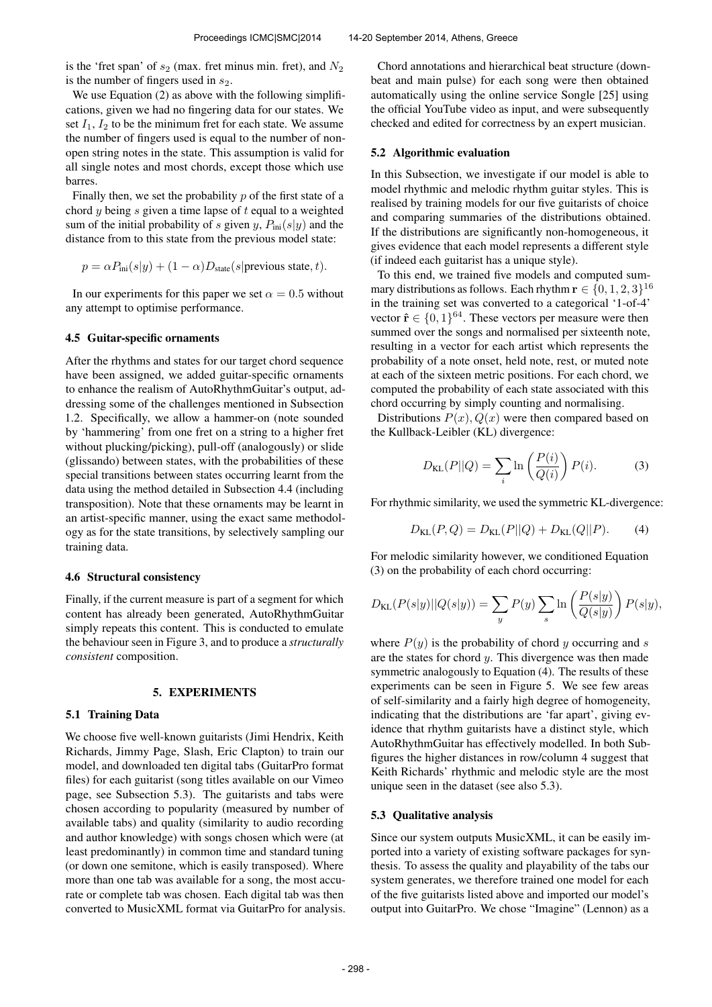is the 'fret span' of  $s_2$  (max. fret minus min. fret), and  $N_2$ is the number of fingers used in  $s_2$ .

We use Equation (2) as above with the following simplifications, given we had no fingering data for our states. We set  $I_1$ ,  $I_2$  to be the minimum fret for each state. We assume the number of fingers used is equal to the number of nonopen string notes in the state. This assumption is valid for all single notes and most chords, except those which use barres.

Finally then, we set the probability  $p$  of the first state of a chord  $y$  being  $s$  given a time lapse of  $t$  equal to a weighted sum of the initial probability of s given y,  $P_{\text{ini}}(s|y)$  and the distance from to this state from the previous model state:

$$
p = \alpha P_{\text{ini}}(s|y) + (1 - \alpha)D_{\text{state}}(s|\text{previous state}, t).
$$

In our experiments for this paper we set  $\alpha = 0.5$  without any attempt to optimise performance.

# 4.5 Guitar-specific ornaments

After the rhythms and states for our target chord sequence have been assigned, we added guitar-specific ornaments to enhance the realism of AutoRhythmGuitar's output, addressing some of the challenges mentioned in Subsection 1.2. Specifically, we allow a hammer-on (note sounded by 'hammering' from one fret on a string to a higher fret without plucking/picking), pull-off (analogously) or slide (glissando) between states, with the probabilities of these special transitions between states occurring learnt from the data using the method detailed in Subsection 4.4 (including transposition). Note that these ornaments may be learnt in an artist-specific manner, using the exact same methodology as for the state transitions, by selectively sampling our training data.

### 4.6 Structural consistency

Finally, if the current measure is part of a segment for which content has already been generated, AutoRhythmGuitar simply repeats this content. This is conducted to emulate the behaviour seen in Figure 3, and to produce a *structurally consistent* composition.

# 5. EXPERIMENTS

# 5.1 Training Data

We choose five well-known guitarists (Jimi Hendrix, Keith Richards, Jimmy Page, Slash, Eric Clapton) to train our model, and downloaded ten digital tabs (GuitarPro format files) for each guitarist (song titles available on our Vimeo page, see Subsection 5.3). The guitarists and tabs were chosen according to popularity (measured by number of available tabs) and quality (similarity to audio recording and author knowledge) with songs chosen which were (at least predominantly) in common time and standard tuning (or down one semitone, which is easily transposed). Where more than one tab was available for a song, the most accurate or complete tab was chosen. Each digital tab was then converted to MusicXML format via GuitarPro for analysis.

Chord annotations and hierarchical beat structure (downbeat and main pulse) for each song were then obtained automatically using the online service Songle [25] using the official YouTube video as input, and were subsequently checked and edited for correctness by an expert musician.

# 5.2 Algorithmic evaluation

In this Subsection, we investigate if our model is able to model rhythmic and melodic rhythm guitar styles. This is realised by training models for our five guitarists of choice and comparing summaries of the distributions obtained. If the distributions are significantly non-homogeneous, it gives evidence that each model represents a different style (if indeed each guitarist has a unique style).

To this end, we trained five models and computed summary distributions as follows. Each rhythm  $\mathbf{r} \in \{0, 1, 2, 3\}^{16}$ in the training set was converted to a categorical '1-of-4' vector  $\hat{\mathbf{r}} \in \{0, 1\}^{64}$ . These vectors per measure were then summed over the songs and normalised per sixteenth note, resulting in a vector for each artist which represents the probability of a note onset, held note, rest, or muted note at each of the sixteen metric positions. For each chord, we computed the probability of each state associated with this chord occurring by simply counting and normalising.

Distributions  $P(x)$ ,  $Q(x)$  were then compared based on the Kullback-Leibler (KL) divergence:

$$
D_{\text{KL}}(P||Q) = \sum_{i} \ln \left( \frac{P(i)}{Q(i)} \right) P(i). \tag{3}
$$

For rhythmic similarity, we used the symmetric KL-divergence:

$$
D_{\text{KL}}(P,Q) = D_{\text{KL}}(P||Q) + D_{\text{KL}}(Q||P). \tag{4}
$$

For melodic similarity however, we conditioned Equation (3) on the probability of each chord occurring:

$$
D_{\text{KL}}(P(s|y)||Q(s|y)) = \sum_{y} P(y) \sum_{s} \ln\left(\frac{P(s|y)}{Q(s|y)}\right) P(s|y),
$$

where  $P(y)$  is the probability of chord y occurring and s are the states for chord  $y$ . This divergence was then made symmetric analogously to Equation (4). The results of these experiments can be seen in Figure 5. We see few areas of self-similarity and a fairly high degree of homogeneity, indicating that the distributions are 'far apart', giving evidence that rhythm guitarists have a distinct style, which AutoRhythmGuitar has effectively modelled. In both Subfigures the higher distances in row/column 4 suggest that Keith Richards' rhythmic and melodic style are the most unique seen in the dataset (see also 5.3).

# 5.3 Qualitative analysis

Since our system outputs MusicXML, it can be easily imported into a variety of existing software packages for synthesis. To assess the quality and playability of the tabs our system generates, we therefore trained one model for each of the five guitarists listed above and imported our model's output into GuitarPro. We chose "Imagine" (Lennon) as a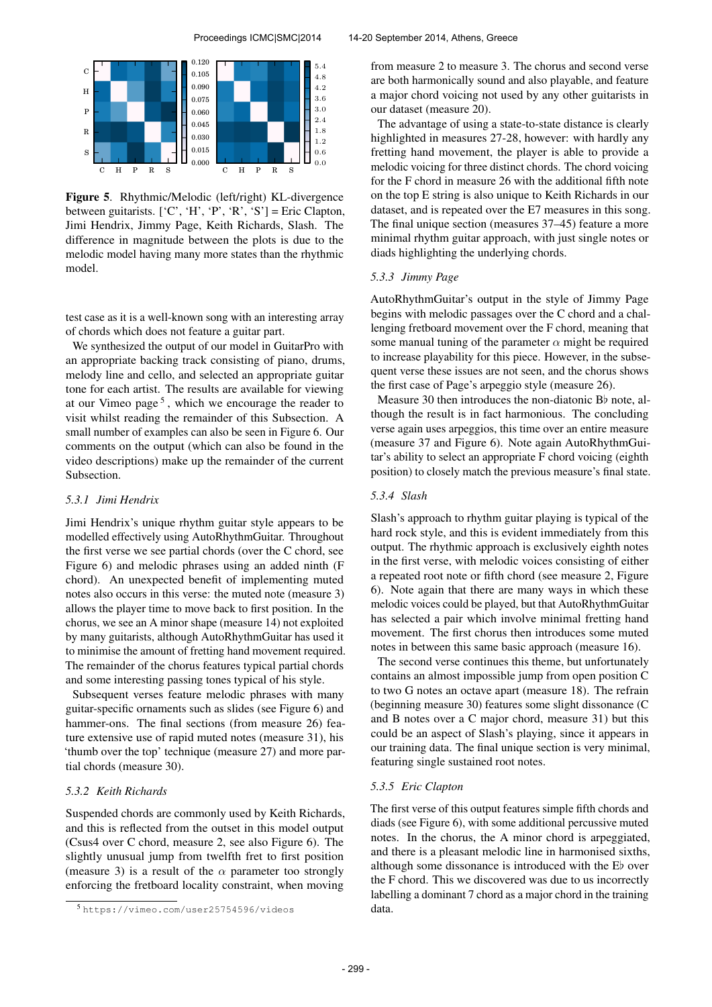

Figure 5. Rhythmic/Melodic (left/right) KL-divergence between guitarists.  $[°C', 'H', 'P', 'R', 'S'] =$  Eric Clapton, Jimi Hendrix, Jimmy Page, Keith Richards, Slash. The difference in magnitude between the plots is due to the melodic model having many more states than the rhythmic model.

test case as it is a well-known song with an interesting array of chords which does not feature a guitar part.

We synthesized the output of our model in GuitarPro with an appropriate backing track consisting of piano, drums, melody line and cello, and selected an appropriate guitar tone for each artist. The results are available for viewing at our Vimeo page<sup>5</sup>, which we encourage the reader to visit whilst reading the remainder of this Subsection. A small number of examples can also be seen in Figure 6. Our comments on the output (which can also be found in the video descriptions) make up the remainder of the current Subsection.

# *5.3.1 Jimi Hendrix*

Jimi Hendrix's unique rhythm guitar style appears to be modelled effectively using AutoRhythmGuitar. Throughout the first verse we see partial chords (over the C chord, see Figure 6) and melodic phrases using an added ninth (F chord). An unexpected benefit of implementing muted notes also occurs in this verse: the muted note (measure 3) allows the player time to move back to first position. In the chorus, we see an A minor shape (measure 14) not exploited by many guitarists, although AutoRhythmGuitar has used it to minimise the amount of fretting hand movement required. The remainder of the chorus features typical partial chords and some interesting passing tones typical of his style.

Subsequent verses feature melodic phrases with many guitar-specific ornaments such as slides (see Figure 6) and hammer-ons. The final sections (from measure 26) feature extensive use of rapid muted notes (measure 31), his 'thumb over the top' technique (measure 27) and more partial chords (measure 30).

# *5.3.2 Keith Richards*

Suspended chords are commonly used by Keith Richards, and this is reflected from the outset in this model output (Csus4 over C chord, measure 2, see also Figure 6). The slightly unusual jump from twelfth fret to first position (measure 3) is a result of the  $\alpha$  parameter too strongly enforcing the fretboard locality constraint, when moving

from measure 2 to measure 3. The chorus and second verse are both harmonically sound and also playable, and feature a major chord voicing not used by any other guitarists in our dataset (measure 20).

The advantage of using a state-to-state distance is clearly highlighted in measures 27-28, however: with hardly any fretting hand movement, the player is able to provide a melodic voicing for three distinct chords. The chord voicing for the F chord in measure 26 with the additional fifth note on the top E string is also unique to Keith Richards in our dataset, and is repeated over the E7 measures in this song. The final unique section (measures 37–45) feature a more minimal rhythm guitar approach, with just single notes or diads highlighting the underlying chords.

## *5.3.3 Jimmy Page*

AutoRhythmGuitar's output in the style of Jimmy Page begins with melodic passages over the C chord and a challenging fretboard movement over the F chord, meaning that some manual tuning of the parameter  $\alpha$  might be required to increase playability for this piece. However, in the subsequent verse these issues are not seen, and the chorus shows the first case of Page's arpeggio style (measure 26).

Measure 30 then introduces the non-diatonic B♭ note, although the result is in fact harmonious. The concluding verse again uses arpeggios, this time over an entire measure (measure 37 and Figure 6). Note again AutoRhythmGuitar's ability to select an appropriate F chord voicing (eighth position) to closely match the previous measure's final state.

# *5.3.4 Slash*

Slash's approach to rhythm guitar playing is typical of the hard rock style, and this is evident immediately from this output. The rhythmic approach is exclusively eighth notes in the first verse, with melodic voices consisting of either a repeated root note or fifth chord (see measure 2, Figure 6). Note again that there are many ways in which these melodic voices could be played, but that AutoRhythmGuitar has selected a pair which involve minimal fretting hand movement. The first chorus then introduces some muted notes in between this same basic approach (measure 16).

The second verse continues this theme, but unfortunately contains an almost impossible jump from open position C to two G notes an octave apart (measure 18). The refrain (beginning measure 30) features some slight dissonance (C and B notes over a C major chord, measure 31) but this could be an aspect of Slash's playing, since it appears in our training data. The final unique section is very minimal, featuring single sustained root notes.

# *5.3.5 Eric Clapton*

The first verse of this output features simple fifth chords and diads (see Figure 6), with some additional percussive muted notes. In the chorus, the A minor chord is arpeggiated, and there is a pleasant melodic line in harmonised sixths, although some dissonance is introduced with the E♭ over the F chord. This we discovered was due to us incorrectly labelling a dominant 7 chord as a major chord in the training data.

<sup>5</sup> <https://vimeo.com/user25754596/videos>